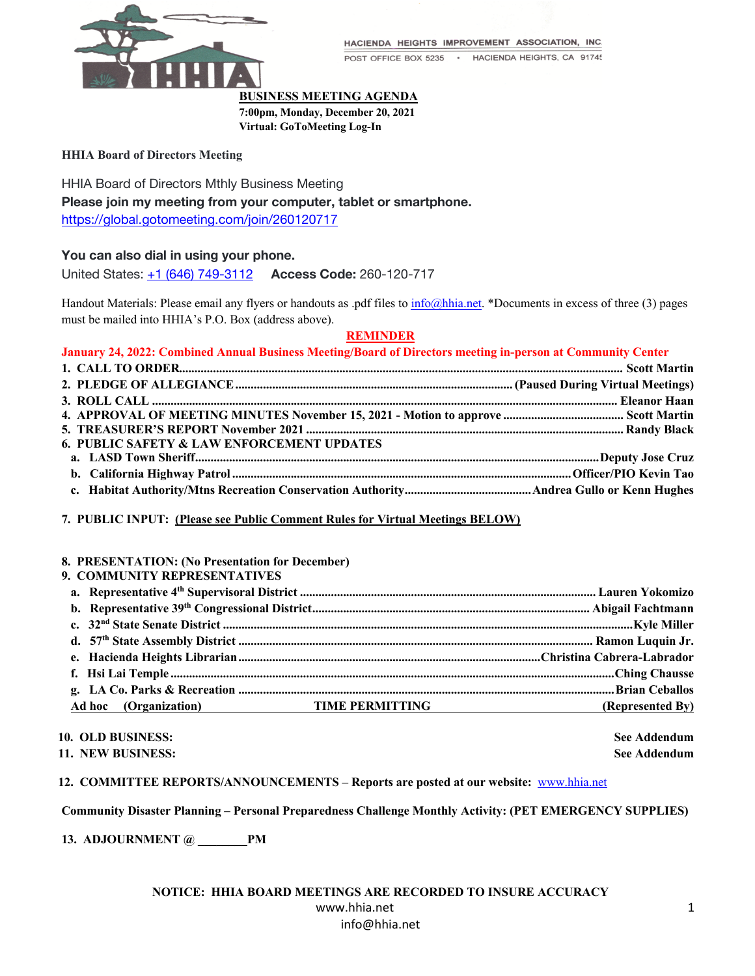

HACIENDA HEIGHTS IMPROVEMENT ASSOCIATION, INC.

POST OFFICE BOX 5235 · HACIENDA HEIGHTS, CA 91745

### **BUSINESS MEETING AGENDA**

**7:00pm, Monday, December 20, 2021**

**Virtual: GoToMeeting Log-In**

### **HHIA Board of Directors Meeting**

HHIA Board of Directors Mthly Business Meeting **Please join my meeting from your computer, tablet or smartphone.** https://global.gotomeeting.com/join/260120717

## **You can also dial in using your phone.**

United States: +1 (646) 749-3112 **Access Code:** 260-120-717

Handout Materials: Please email any flyers or handouts as .pdf files to info@hhia.net. \*Documents in excess of three (3) pages must be mailed into HHIA's P.O. Box (address above).

# **REMINDER**

**January 24, 2022: Combined Annual Business Meeting/Board of Directors meeting in-person at Community Center**

| <b>6. PUBLIC SAFETY &amp; LAW ENFORCEMENT UPDATES</b> |  |
|-------------------------------------------------------|--|
|                                                       |  |
|                                                       |  |
|                                                       |  |

## **7. PUBLIC INPUT: (Please see Public Comment Rules for Virtual Meetings BELOW)**

### **8. PRESENTATION: (No Presentation for December)**

| 9. COMMUNITY REPRESENTATIVES |                                                        |
|------------------------------|--------------------------------------------------------|
|                              |                                                        |
|                              |                                                        |
|                              |                                                        |
|                              |                                                        |
|                              |                                                        |
|                              |                                                        |
|                              |                                                        |
|                              | Ad hoc (Organization) TIME PERMITTING (Represented By) |

**10. OLD BUSINESS: See Addendum**

**11. NEW BUSINESS: See Addendum**

## **12. COMMITTEE REPORTS/ANNOUNCEMENTS – Reports are posted at our website:** www.hhia.net

## **Community Disaster Planning – Personal Preparedness Challenge Monthly Activity: (PET EMERGENCY SUPPLIES)**

**13. ADJOURNMENT @ \_\_\_\_\_\_\_\_PM**